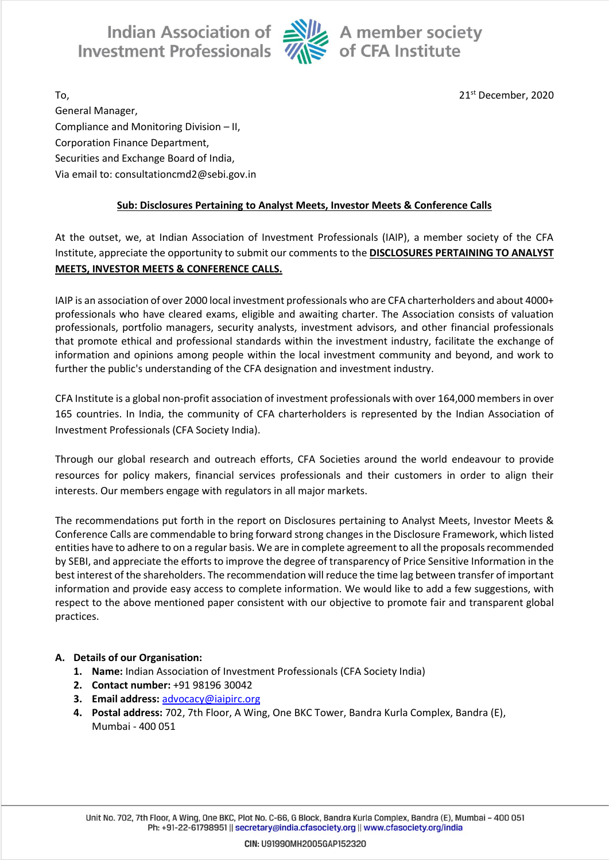Indian Association of Alle A member society<br>Investment Professionals  $\overline{\mathcal{U}}$  of CFA Institute



To, 21st December, 2020 General Manager, Compliance and Monitoring Division – II, Corporation Finance Department, Securities and Exchange Board of India, Via email to: consultationcmd2@sebi.gov.in

## **Sub: Disclosures Pertaining to Analyst Meets, Investor Meets & Conference Calls**

At the outset, we, at Indian Association of Investment Professionals (IAIP), a member society of the CFA Institute, appreciate the opportunity to submit our comments to the **DISCLOSURES PERTAINING TO ANALYST MEETS, INVESTOR MEETS & CONFERENCE CALLS.**

IAIP is an association of over 2000 local investment professionals who are CFA charterholders and about 4000+ professionals who have cleared exams, eligible and awaiting charter. The Association consists of valuation professionals, portfolio managers, security analysts, investment advisors, and other financial professionals that promote ethical and professional standards within the investment industry, facilitate the exchange of information and opinions among people within the local investment community and beyond, and work to further the public's understanding of the CFA designation and investment industry.

CFA Institute is a global non-profit association of investment professionals with over 164,000 members in over 165 countries. In India, the community of CFA charterholders is represented by the Indian Association of Investment Professionals (CFA Society India).

Through our global research and outreach efforts, CFA Societies around the world endeavour to provide resources for policy makers, financial services professionals and their customers in order to align their interests. Our members engage with regulators in all major markets.

The recommendations put forth in the report on Disclosures pertaining to Analyst Meets, Investor Meets & Conference Calls are commendable to bring forward strong changes in the Disclosure Framework, which listed entities have to adhere to on a regular basis. We are in complete agreement to all the proposals recommended by SEBI, and appreciate the efforts to improve the degree of transparency of Price Sensitive Information in the best interest of the shareholders. The recommendation will reduce the time lag between transfer of important information and provide easy access to complete information. We would like to add a few suggestions, with respect to the above mentioned paper consistent with our objective to promote fair and transparent global practices.

### **A. Details of our Organisation:**

- **1. Name:** Indian Association of Investment Professionals (CFA Society India)
- **2. Contact number:** +91 98196 30042
- **3. Email address:** [advocacy@iaipirc.org](mailto:advocacy@iaipirc.org)
- **4. Postal address:** 702, 7th Floor, A Wing, One BKC Tower, Bandra Kurla Complex, Bandra (E), Mumbai - 400 051

Unit No. 702, 7th Floor, A Wing, One BKC, Plot No. C-66, G Block, Bandra Kurla Complex, Bandra (E), Mumbai - 400 051 Ph: +91-22-61798951 || secretary@india.cfasociety.org || www.cfasociety.org/india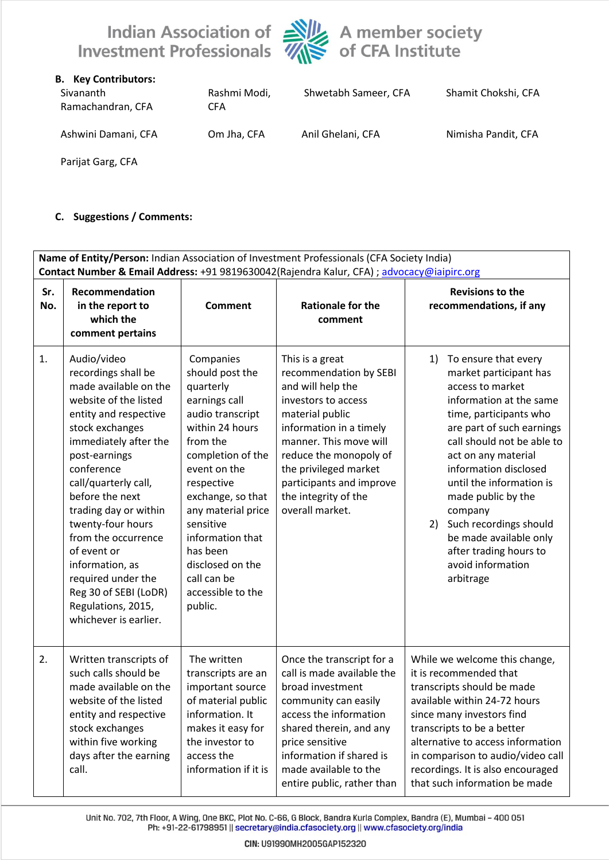



| <b>B.</b> Key Contributors:<br>Sivananth<br>Ramachandran, CFA | Rashmi Modi,<br><b>CFA</b> | Shwetabh Sameer, CFA | Shamit Chokshi, CFA |
|---------------------------------------------------------------|----------------------------|----------------------|---------------------|
| Ashwini Damani, CFA                                           | Om Jha, CFA                | Anil Ghelani, CFA    | Nimisha Pandit, CFA |
| Parijat Garg, CFA                                             |                            |                      |                     |

#### **C. Suggestions / Comments:**

| Name of Entity/Person: Indian Association of Investment Professionals (CFA Society India)<br>Contact Number & Email Address: +91 9819630042(Rajendra Kalur, CFA) ; advocacy@iaipirc.org |                                                                                                                                                                                                                                                                                                                                                                                                                                          |                                                                                                                                                                                                                                                                                                                             |                                                                                                                                                                                                                                                                                         |                                                                                                                                                                                                                                                                                                                                                                                                                             |  |
|-----------------------------------------------------------------------------------------------------------------------------------------------------------------------------------------|------------------------------------------------------------------------------------------------------------------------------------------------------------------------------------------------------------------------------------------------------------------------------------------------------------------------------------------------------------------------------------------------------------------------------------------|-----------------------------------------------------------------------------------------------------------------------------------------------------------------------------------------------------------------------------------------------------------------------------------------------------------------------------|-----------------------------------------------------------------------------------------------------------------------------------------------------------------------------------------------------------------------------------------------------------------------------------------|-----------------------------------------------------------------------------------------------------------------------------------------------------------------------------------------------------------------------------------------------------------------------------------------------------------------------------------------------------------------------------------------------------------------------------|--|
| Sr.<br>No.                                                                                                                                                                              | Recommendation<br>in the report to<br>which the<br>comment pertains                                                                                                                                                                                                                                                                                                                                                                      | <b>Comment</b>                                                                                                                                                                                                                                                                                                              | <b>Rationale for the</b><br>comment                                                                                                                                                                                                                                                     | <b>Revisions to the</b><br>recommendations, if any                                                                                                                                                                                                                                                                                                                                                                          |  |
| 1.                                                                                                                                                                                      | Audio/video<br>recordings shall be<br>made available on the<br>website of the listed<br>entity and respective<br>stock exchanges<br>immediately after the<br>post-earnings<br>conference<br>call/quarterly call,<br>before the next<br>trading day or within<br>twenty-four hours<br>from the occurrence<br>of event or<br>information, as<br>required under the<br>Reg 30 of SEBI (LoDR)<br>Regulations, 2015,<br>whichever is earlier. | Companies<br>should post the<br>quarterly<br>earnings call<br>audio transcript<br>within 24 hours<br>from the<br>completion of the<br>event on the<br>respective<br>exchange, so that<br>any material price<br>sensitive<br>information that<br>has been<br>disclosed on the<br>call can be<br>accessible to the<br>public. | This is a great<br>recommendation by SEBI<br>and will help the<br>investors to access<br>material public<br>information in a timely<br>manner. This move will<br>reduce the monopoly of<br>the privileged market<br>participants and improve<br>the integrity of the<br>overall market. | To ensure that every<br>1)<br>market participant has<br>access to market<br>information at the same<br>time, participants who<br>are part of such earnings<br>call should not be able to<br>act on any material<br>information disclosed<br>until the information is<br>made public by the<br>company<br>Such recordings should<br>2)<br>be made available only<br>after trading hours to<br>avoid information<br>arbitrage |  |
| 2.                                                                                                                                                                                      | Written transcripts of<br>such calls should be<br>made available on the<br>website of the listed<br>entity and respective<br>stock exchanges<br>within five working<br>days after the earning<br>call.                                                                                                                                                                                                                                   | The written<br>transcripts are an<br>important source<br>of material public<br>information. It<br>makes it easy for<br>the investor to<br>access the<br>information if it is                                                                                                                                                | Once the transcript for a<br>call is made available the<br>broad investment<br>community can easily<br>access the information<br>shared therein, and any<br>price sensitive<br>information if shared is<br>made available to the<br>entire public, rather than                          | While we welcome this change,<br>it is recommended that<br>transcripts should be made<br>available within 24-72 hours<br>since many investors find<br>transcripts to be a better<br>alternative to access information<br>in comparison to audio/video call<br>recordings. It is also encouraged<br>that such information be made                                                                                            |  |

Unit No. 702, 7th Floor, A Wing, One BKC, Plot No. C-66, G Block, Bandra Kurla Complex, Bandra (E), Mumbai - 400 051<br>Ph: +91-22-61798951 || secretary@india.cfasociety.org || www.cfasociety.org/india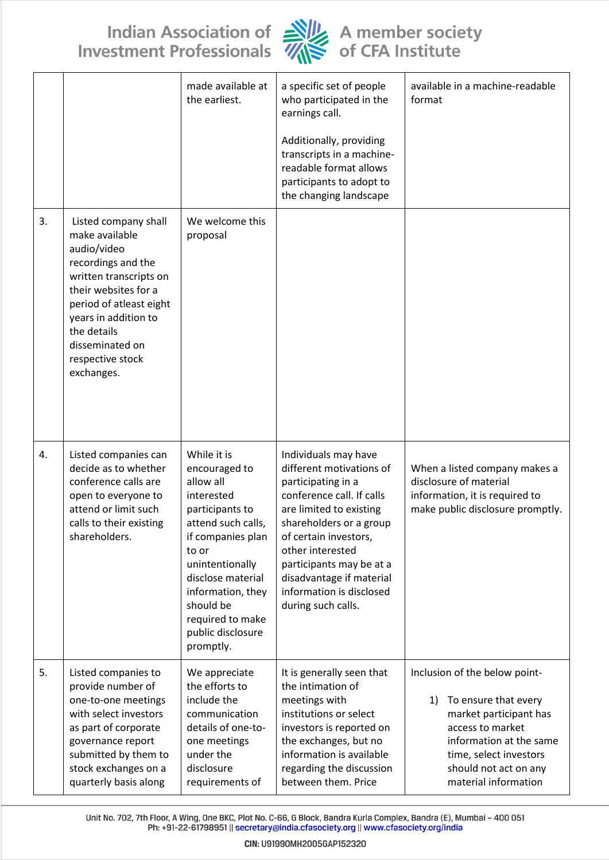# Indian Association of Alle A member society<br>Investment Professionals Alle of CFA Institute



|    |                                                                                                                                                                                                                                                      | made available at<br>the earliest.                                                                                                                                                                                                                             | a specific set of people<br>who participated in the<br>earnings call.<br>Additionally, providing<br>transcripts in a machine-<br>readable format allows<br>participants to adopt to<br>the changing landscape                                                                                                    | available in a machine-readable<br>format                                                                                                                                                                       |
|----|------------------------------------------------------------------------------------------------------------------------------------------------------------------------------------------------------------------------------------------------------|----------------------------------------------------------------------------------------------------------------------------------------------------------------------------------------------------------------------------------------------------------------|------------------------------------------------------------------------------------------------------------------------------------------------------------------------------------------------------------------------------------------------------------------------------------------------------------------|-----------------------------------------------------------------------------------------------------------------------------------------------------------------------------------------------------------------|
| 3. | Listed company shall<br>make available<br>audio/video<br>recordings and the<br>written transcripts on<br>their websites for a<br>period of atleast eight<br>years in addition to<br>the details<br>disseminated on<br>respective stock<br>exchanges. | We welcome this<br>proposal                                                                                                                                                                                                                                    |                                                                                                                                                                                                                                                                                                                  |                                                                                                                                                                                                                 |
| 4. | Listed companies can<br>decide as to whether<br>conference calls are<br>open to everyone to<br>attend or limit such<br>calls to their existing<br>shareholders.                                                                                      | While it is<br>encouraged to<br>allow all<br>interested<br>participants to<br>attend such calls.<br>if companies plan<br>to or<br>unintentionally<br>disclose material<br>information, they<br>should be<br>required to make<br>public disclosure<br>promptly. | Individuals may have<br>different motivations of<br>participating in a<br>conference call. If calls<br>are limited to existing<br>shareholders or a group<br>of certain investors,<br>other interested<br>participants may be at a<br>disadvantage if material<br>information is disclosed<br>during such calls. | When a listed company makes a<br>disclosure of material<br>information, it is required to<br>make public disclosure promptly.                                                                                   |
| 5. | Listed companies to<br>provide number of<br>one-to-one meetings<br>with select investors<br>as part of corporate<br>governance report<br>submitted by them to<br>stock exchanges on a<br>quarterly basis along                                       | We appreciate<br>the efforts to<br>include the<br>communication<br>details of one-to-<br>one meetings<br>under the<br>disclosure<br>requirements of                                                                                                            | It is generally seen that<br>the intimation of<br>meetings with<br>institutions or select<br>investors is reported on<br>the exchanges, but no<br>information is available<br>regarding the discussion<br>between them. Price                                                                                    | Inclusion of the below point-<br>To ensure that every<br>1)<br>market participant has<br>access to market<br>information at the same<br>time, select investors<br>should not act on any<br>material information |

Unit No. 702, 7th Floor, A Wing, One BKC, Plot No. C-66, G Block, Bandra Kurla Complex, Bandra (E), Mumbai - 400 051<br>Ph: +91-22-61798951 || secretary@india.cfasociety.org || www.cfasociety.org/india